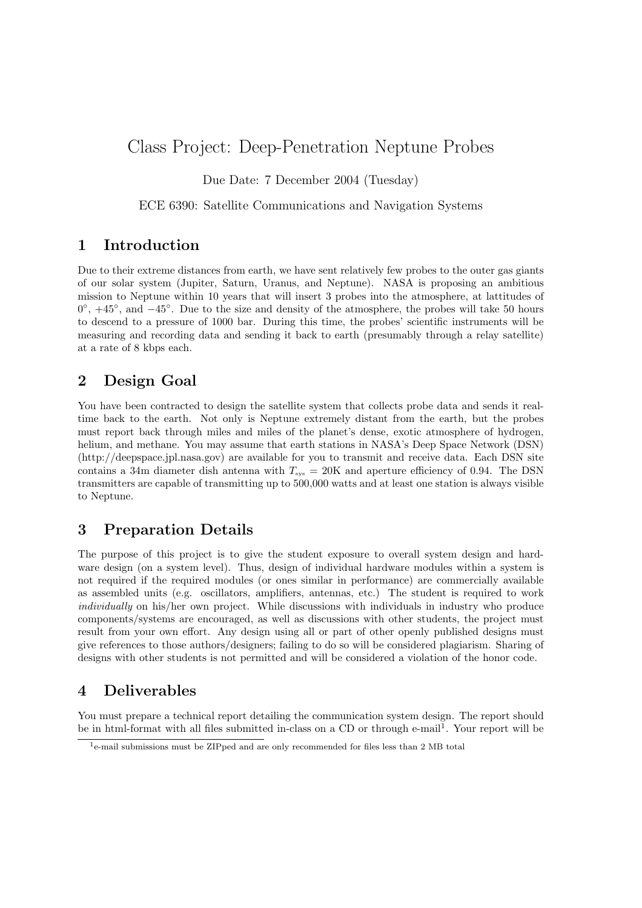# Class Project: Deep-Penetration Neptune Probes

Due Date: 7 December 2004 (Tuesday)

ECE 6390: Satellite Communications and Navigation Systems

### 1 Introduction

Due to their extreme distances from earth, we have sent relatively few probes to the outer gas giants of our solar system (Jupiter, Saturn, Uranus, and Neptune). NASA is proposing an ambitious mission to Neptune within 10 years that will insert 3 probes into the atmosphere, at lattitudes of 0°,  $+45^\circ$ , and  $-45^\circ$ . Due to the size and density of the atmosphere, the probes will take 50 hours to descend to a pressure of 1000 bar. During this time, the probes' scientific instruments will be measuring and recording data and sending it back to earth (presumably through a relay satellite) at a rate of 8 kbps each.

## 2 Design Goal

You have been contracted to design the satellite system that collects probe data and sends it realtime back to the earth. Not only is Neptune extremely distant from the earth, but the probes must report back through miles and miles of the planet's dense, exotic atmosphere of hydrogen, helium, and methane. You may assume that earth stations in NASA's Deep Space Network (DSN) (http://deepspace.jpl.nasa.gov) are available for you to transmit and receive data. Each DSN site contains a 34m diameter dish antenna with  $T_{\rm sys} = 20$ K and aperture efficiency of 0.94. The DSN transmitters are capable of transmitting up to 500,000 watts and at least one station is always visible to Neptune.

## 3 Preparation Details

The purpose of this project is to give the student exposure to overall system design and hardware design (on a system level). Thus, design of individual hardware modules within a system is not required if the required modules (or ones similar in performance) are commercially available as assembled units (e.g. oscillators, amplifiers, antennas, etc.) The student is required to work individually on his/her own project. While discussions with individuals in industry who produce components/systems are encouraged, as well as discussions with other students, the project must result from your own effort. Any design using all or part of other openly published designs must give references to those authors/designers; failing to do so will be considered plagiarism. Sharing of designs with other students is not permitted and will be considered a violation of the honor code.

## 4 Deliverables

You must prepare a technical report detailing the communication system design. The report should be in html-format with all files submitted in-class on a CD or through e-mail<sup>1</sup>. Your report will be

<sup>1</sup>e-mail submissions must be ZIPped and are only recommended for files less than 2 MB total